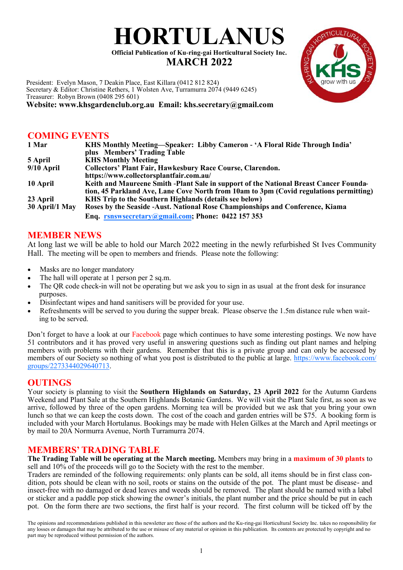# **HORTULANUS**

**Official Publication of Ku-ring-gai Horticultural Society Inc. MARCH 2022**

President: Evelyn Mason, 7 Deakin Place, East Killara (0412 812 824) Secretary & Editor: Christine Rethers, 1 Wolsten Ave, Turramurra 2074 (9449 6245) Treasurer: Robyn Brown (0408 295 601)

**Website: www.khsgardenclub.org.au Email: khs.secretary@gmail.com**

## **COMING EVENTS**

| 1 Mar          | KHS Monthly Meeting—Speaker: Libby Cameron - 'A Floral Ride Through India'             |
|----------------|----------------------------------------------------------------------------------------|
|                | plus Members' Trading Table                                                            |
| 5 April        | <b>KHS Monthly Meeting</b>                                                             |
| $9/10$ April   | <b>Collectors' Plant Fair, Hawkesbury Race Course, Clarendon.</b>                      |
|                | https://www.collectorsplantfair.com.au/                                                |
| 10 April       | Keith and Maureene Smith -Plant Sale in support of the National Breast Cancer Founda-  |
|                | tion, 45 Parkland Ave, Lane Cove North from 10am to 3pm (Covid regulations permitting) |
| 23 April       | KHS Trip to the Southern Highlands (details see below)                                 |
| 30 April/1 May | Roses by the Seaside - Aust. National Rose Championships and Conference, Kiama         |
|                | Enq. rsnswsecretary@gmail.com; Phone: 0422 157 353                                     |

## **MEMBER NEWS**

At long last we will be able to hold our March 2022 meeting in the newly refurbished St Ives Community Hall. The meeting will be open to members and friends. Please note the following:

- Masks are no longer mandatory
- The hall will operate at 1 person per 2 sq.m.
- The OR code check-in will not be operating but we ask you to sign in as usual at the front desk for insurance purposes.
- Disinfectant wipes and hand sanitisers will be provided for your use.
- Refreshments will be served to you during the supper break. Please observe the 1.5m distance rule when waiting to be served.

Don't forget to have a look at our Facebook page which continues to have some interesting postings. We now have 51 contributors and it has proved very useful in answering questions such as finding out plant names and helping members with problems with their gardens. Remember that this is a private group and can only be accessed by members of our Society so nothing of what you post is distributed to the public at large. [https://www.facebook.com/](https://www.facebook.com/groups/2273344029640713) [groups/2273344029640713.](https://www.facebook.com/groups/2273344029640713)

## **OUTINGS**

Your society is planning to visit the **Southern Highlands on Saturday, 23 April 2022** for the Autumn Gardens Weekend and Plant Sale at the Southern Highlands Botanic Gardens. We will visit the Plant Sale first, as soon as we arrive, followed by three of the open gardens. Morning tea will be provided but we ask that you bring your own lunch so that we can keep the costs down. The cost of the coach and garden entries will be \$75. A booking form is included with your March Hortulanus. Bookings may be made with Helen Gilkes at the March and April meetings or by mail to 20A Normurra Avenue, North Turramurra 2074.

## **MEMBERS' TRADING TABLE**

**The Trading Table will be operating at the March meeting.** Members may bring in a **maximum of 30 plants** to sell and 10% of the proceeds will go to the Society with the rest to the member.

Traders are reminded of the following requirements: only plants can be sold, all items should be in first class condition, pots should be clean with no soil, roots or stains on the outside of the pot. The plant must be disease- and insect-free with no damaged or dead leaves and weeds should be removed. The plant should be named with a label or sticker and a paddle pop stick showing the owner's initials, the plant number and the price should be put in each pot. On the form there are two sections, the first half is your record. The first column will be ticked off by the

The opinions and recommendations published in this newsletter are those of the authors and the Ku-ring-gai Horticultural Society Inc. takes no responsibility for any losses or damages that may be attributed to the use or misuse of any material or opinion in this publication. Its contents are protected by copyright and no part may be reproduced without permission of the authors.

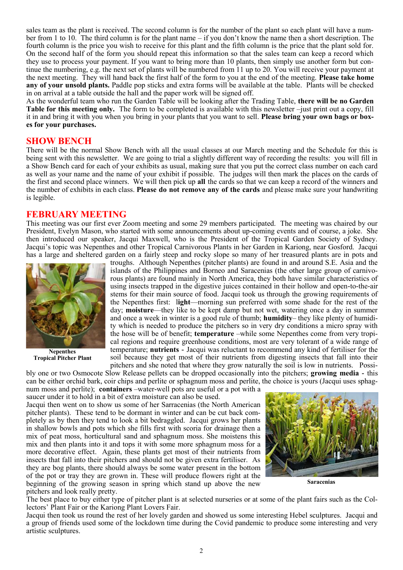sales team as the plant is received. The second column is for the number of the plant so each plant will have a number from 1 to 10. The third column is for the plant name – if you don't know the name then a short description. The fourth column is the price you wish to receive for this plant and the fifth column is the price that the plant sold for. On the second half of the form you should repeat this information so that the sales team can keep a record which they use to process your payment. If you want to bring more than 10 plants, then simply use another form but continue the numbering, e.g. the next set of plants will be numbered from 11 up to 20. You will receive your payment at the next meeting. They will hand back the first half of the form to you at the end of the meeting. **Please take home any of your unsold plants.** Paddle pop sticks and extra forms will be available at the table. Plants will be checked in on arrival at a table outside the hall and the paper work will be signed off.

As the wonderful team who run the Garden Table will be looking after the Trading Table, **there will be no Garden Table for this meeting only.** The form to be completed is available with this newsletter –just print out a copy, fill it in and bring it with you when you bring in your plants that you want to sell. **Please bring your own bags or boxes for your purchases.**

#### **SHOW BENCH**

There will be the normal Show Bench with all the usual classes at our March meeting and the Schedule for this is being sent with this newsletter. We are going to trial a slightly different way of recording the results: you will fill in a Show Bench card for each of your exhibits as usual, making sure that you put the correct class number on each card as well as your name and the name of your exhibit if possible. The judges will then mark the places on the cards of the first and second place winners. We will then pick up **all** the cards so that we can keep a record of the winners and the number of exhibits in each class. **Please do not remove any of the cards** and please make sure your handwriting is legible.

#### **FEBRUARY MEETING**

This meeting was our first ever Zoom meeting and some 29 members participated. The meeting was chaired by our President, Evelyn Mason, who started with some announcements about up-coming events and of course, a joke. She then introduced our speaker, Jacqui Maxwell, who is the President of the Tropical Garden Society of Sydney. Jacqui's topic was Nepenthes and other Tropical Carnivorous Plants in her Garden in Kariong, near Gosford. Jacqui has a large and sheltered garden on a fairly steep and rocky slope so many of her treasured plants are in pots and



 **Nepenthes Tropical Pitcher Plant**

troughs. Although Nepenthes (pitcher plants) are found in and around S.E. Asia and the islands of the Philippines and Borneo and Saracenias (the other large group of carnivorous plants) are found mainly in North America, they both have similar characteristics of using insects trapped in the digestive juices contained in their hollow and open-to-the-air stems for their main source of food. Jacqui took us through the growing requirements of the Nepenthes first: l**ight**—morning sun preferred with some shade for the rest of the day; **moisture**—they like to be kept damp but not wet, watering once a day in summer and once a week in winter is a good rule of thumb; **humidity**– they like plenty of humidity which is needed to produce the pitchers so in very dry conditions a micro spray with the hose will be of benefit; **temperature** –while some Nepenthes come from very tropical regions and require greenhouse conditions, most are very tolerant of a wide range of temperature; **nutrients -** Jacqui was reluctant to recommend any kind of fertiliser for the soil because they get most of their nutrients from digesting insects that fall into their pitchers and she noted that where they grow naturally the soil is low in nutrients. Possi-

bly one or two Osmocote Slow Release pellets can be dropped occasionally into the pitchers; **growing media -** this can be either orchid bark, coir chips and perlite or sphagnum moss and perlite, the choice is yours (Jacqui uses sphagnum moss and perlite); **containers** –water-well pots are useful or a pot with a

saucer under it to hold in a bit of extra moisture can also be used. Jacqui then went on to show us some of her Sarracenias (the North American pitcher plants). These tend to be dormant in winter and can be cut back completely as by then they tend to look a bit bedraggled. Jacqui grows her plants in shallow bowls and pots which she fills first with scoria for drainage then a mix of peat moss, horticultural sand and sphagnum moss. She moistens this

mix and then plants into it and tops it with some more sphagnum moss for a more decorative effect. Again, these plants get most of their nutrients from insects that fall into their pitchers and should not be given extra fertiliser. As they are bog plants, there should always be some water present in the bottom of the pot or tray they are grown in. These will produce flowers right at the beginning of the growing season in spring which stand up above the new pitchers and look really pretty.



 **Saracenias**

The best place to buy either type of pitcher plant is at selected nurseries or at some of the plant fairs such as the Collectors' Plant Fair or the Kariong Plant Lovers Fair.

Jacqui then took us round the rest of her lovely garden and showed us some interesting Hebel sculptures. Jacqui and a group of friends used some of the lockdown time during the Covid pandemic to produce some interesting and very artistic sculptures.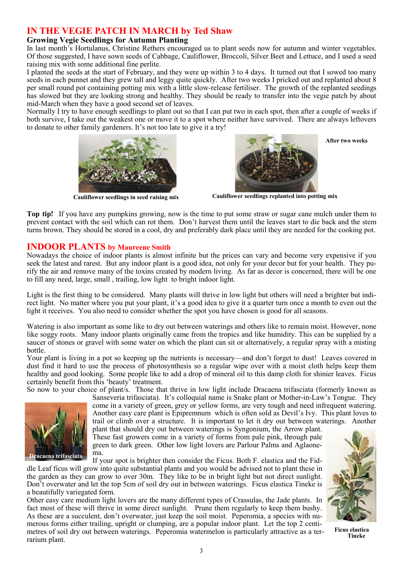# **IN THE VEGIE PATCH IN MARCH by Ted Shaw**

#### **Growing Vegie Seedlings for Autumn Planting**

In last month's Hortulanus, Christine Rethers encouraged us to plant seeds now for autumn and winter vegetables. Of those suggested, I have sown seeds of Cabbage, Cauliflower, Broccoli, Silver Beet and Lettuce, and I used a seed raising mix with some additional fine perlite.

I planted the seeds at the start of February, and they were up within 3 to 4 days. It turned out that I sowed too many seeds in each punnet and they grew tall and leggy quite quickly. After two weeks I pricked out and replanted about 8 per small round pot containing potting mix with a little slow-release fertiliser. The growth of the replanted seedings has slowed but they are looking strong and healthy. They should be ready to transfer into the vegie patch by about mid-March when they have a good second set of leaves.

Normally I try to have enough seedlings to plant out so that I can put two in each spot, then after a couple of weeks if both survive, I take out the weakest one or move it to a spot where neither have survived. There are always leftovers to donate to other family gardeners. It's not too late to give it a try!





 **Cauliflower seedlings in seed raising mix Cauliflower seedlings replanted into potting mix**

**Top tip!** If you have any pumpkins growing, now is the time to put some straw or sugar cane mulch under them to prevent contact with the soil which can rot them. Don't harvest them until the leaves start to die back and the stem turns brown. They should be stored in a cool, dry and preferably dark place until they are needed for the cooking pot.

### **INDOOR PLANTS by Maureene Smith**

Nowadays the choice of indoor plants is almost infinite but the prices can vary and become very expensive if you seek the latest and rarest. But any indoor plant is a good idea, not only for your decor but for your health. They purify the air and remove many of the toxins created by modern living. As far as decor is concerned, there will be one to fill any need, large, small , trailing, low light to bright indoor light.

Light is the first thing to be considered. Many plants will thrive in low light but others will need a brighter but indirect light. No matter where you put your plant, it's a good idea to give it a quarter turn once a month to even out the light it receives. You also need to consider whether the spot you have chosen is good for all seasons.

Watering is also important as some like to dry out between waterings and others like to remain moist. However, none like soggy roots. Many indoor plants originally came from the tropics and like humidity. This can be supplied by a saucer of stones or gravel with some water on which the plant can sit or alternatively, a regular spray with a misting bottle.

Your plant is living in a pot so keeping up the nutrients is necessary—and don't forget to dust! Leaves covered in dust find it hard to use the process of photosynthesis so a regular wipe over with a moist cloth helps keep them healthy and good looking. Some people like to add a drop of mineral oil to this damp cloth for shinier leaves. Ficus certainly benefit from this 'beauty' treatment.

So now to your choice of plant/s. Those that thrive in low light include Dracaena trifasciata (formerly known as



Sanseveria trifasciata). It's colloquial name is Snake plant or Mother-in-Law's Tongue. They come in a variety of green, grey or yellow forms, are very tough and need infrequent watering. Another easy care plant is Epipremnum which is often sold as Devil's Ivy. This plant loves to trail or climb over a structure. It is important to let it dry out between waterings. Another

plant that should dry out between waterings is Syngonium, the Arrow plant. These fast growers come in a variety of forms from pale pink, through pale green to dark green. Other low light lovers are Parlour Palms and Aglaonema.

If your spot is brighter then consider the Ficus. Both F. elastica and the Fid-

dle Leaf ficus will grow into quite substantial plants and you would be advised not to plant these in the garden as they can grow to over 30m. They like to be in bright light but not direct sunlight. Don't overwater and let the top 5cm of soil dry out in between waterings. Ficus elastica Tineke is a beautifully variegated form.

Other easy care medium light lovers are the many different types of Crassulas, the Jade plants. In fact most of these will thrive in some direct sunlight. Prune them regularly to keep them bushy. As these are a succulent, don't overwater, just keep the soil moist. Peperomia, a species with numerous forms either trailing, upright or clumping, are a popular indoor plant. Let the top 2 centimetres of soil dry out between waterings. Peperomia watermelon is particularly attractive as a terrarium plant.



**After two weeks**

 **Ficus elastica Tineke**